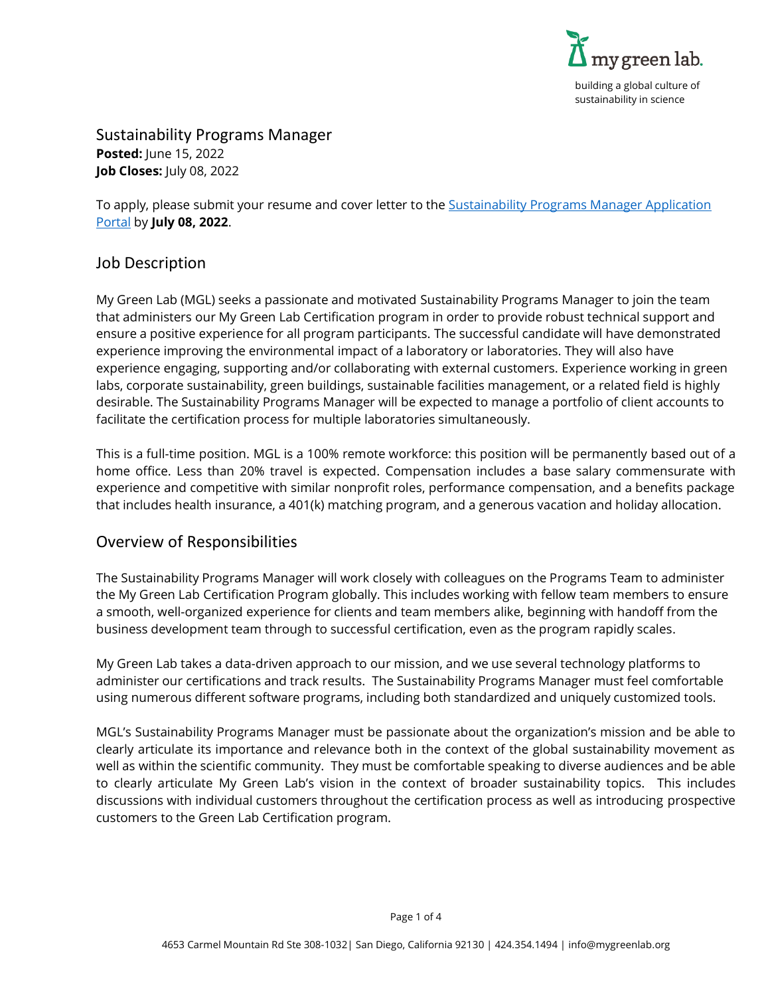

Sustainability Programs Manager **Posted:** June 15, 2022 **Job Closes:** July 08, 2022

To apply, please submit your resume and cover letter to the **Sustainability Programs Manager Application** [Portal](https://www.mygreenlab.org/application-portal-sustainability-programs-manager.html) by **July 08, 2022**.

#### Job Description

My Green Lab (MGL) seeks a passionate and motivated Sustainability Programs Manager to join the team that administers our My Green Lab Certification program in order to provide robust technical support and ensure a positive experience for all program participants. The successful candidate will have demonstrated experience improving the environmental impact of a laboratory or laboratories. They will also have experience engaging, supporting and/or collaborating with external customers. Experience working in green labs, corporate sustainability, green buildings, sustainable facilities management, or a related field is highly desirable. The Sustainability Programs Manager will be expected to manage a portfolio of client accounts to facilitate the certification process for multiple laboratories simultaneously.

This is a full-time position. MGL is a 100% remote workforce: this position will be permanently based out of a home office. Less than 20% travel is expected. Compensation includes a base salary commensurate with experience and competitive with similar nonprofit roles, performance compensation, and a benefits package that includes health insurance, a 401(k) matching program, and a generous vacation and holiday allocation.

#### Overview of Responsibilities

The Sustainability Programs Manager will work closely with colleagues on the Programs Team to administer the My Green Lab Certification Program globally. This includes working with fellow team members to ensure a smooth, well-organized experience for clients and team members alike, beginning with handoff from the business development team through to successful certification, even as the program rapidly scales.

My Green Lab takes a data-driven approach to our mission, and we use several technology platforms to administer our certifications and track results. The Sustainability Programs Manager must feel comfortable using numerous different software programs, including both standardized and uniquely customized tools.

MGL's Sustainability Programs Manager must be passionate about the organization's mission and be able to clearly articulate its importance and relevance both in the context of the global sustainability movement as well as within the scientific community. They must be comfortable speaking to diverse audiences and be able to clearly articulate My Green Lab's vision in the context of broader sustainability topics. This includes discussions with individual customers throughout the certification process as well as introducing prospective customers to the Green Lab Certification program.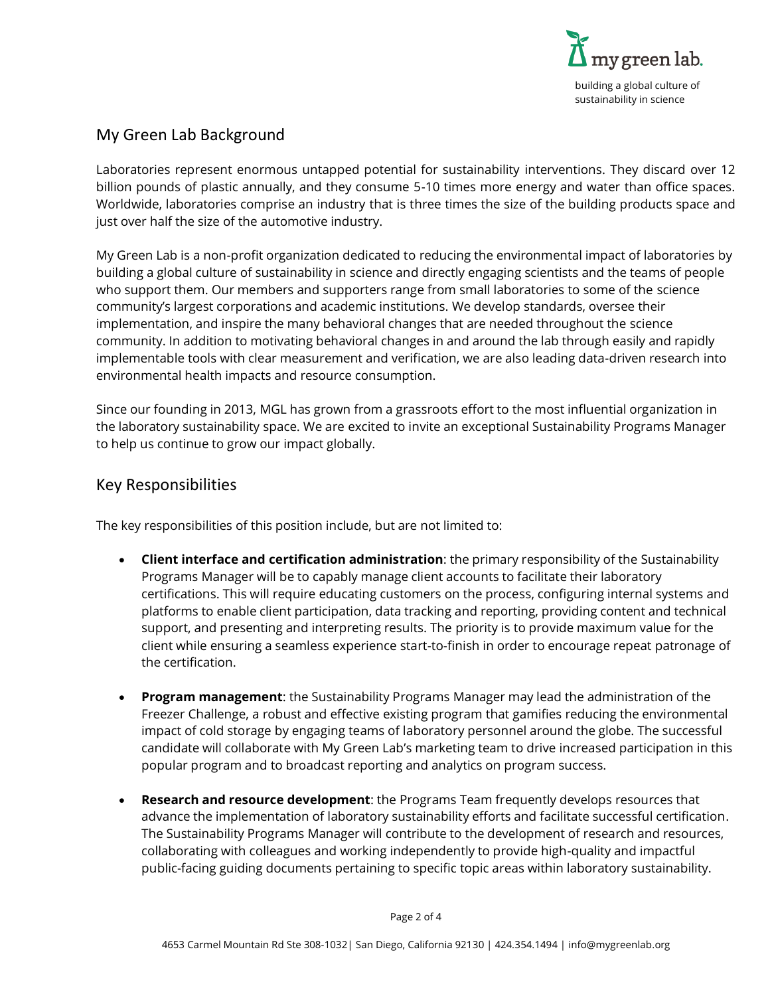

## My Green Lab Background

Laboratories represent enormous untapped potential for sustainability interventions. They discard over 12 billion pounds of plastic annually, and they consume 5-10 times more energy and water than office spaces. Worldwide, laboratories comprise an industry that is three times the size of the building products space and just over half the size of the automotive industry.

My Green Lab is a non-profit organization dedicated to reducing the environmental impact of laboratories by building a global culture of sustainability in science and directly engaging scientists and the teams of people who support them. Our members and supporters range from small laboratories to some of the science community's largest corporations and academic institutions. We develop standards, oversee their implementation, and inspire the many behavioral changes that are needed throughout the science community. In addition to motivating behavioral changes in and around the lab through easily and rapidly implementable tools with clear measurement and verification, we are also leading data-driven research into environmental health impacts and resource consumption.

Since our founding in 2013, MGL has grown from a grassroots effort to the most influential organization in the laboratory sustainability space. We are excited to invite an exceptional Sustainability Programs Manager to help us continue to grow our impact globally.

#### Key Responsibilities

The key responsibilities of this position include, but are not limited to:

- **Client interface and certification administration**: the primary responsibility of the Sustainability Programs Manager will be to capably manage client accounts to facilitate their laboratory certifications. This will require educating customers on the process, configuring internal systems and platforms to enable client participation, data tracking and reporting, providing content and technical support, and presenting and interpreting results. The priority is to provide maximum value for the client while ensuring a seamless experience start-to-finish in order to encourage repeat patronage of the certification.
- **Program management**: the Sustainability Programs Manager may lead the administration of the Freezer Challenge, a robust and effective existing program that gamifies reducing the environmental impact of cold storage by engaging teams of laboratory personnel around the globe. The successful candidate will collaborate with My Green Lab's marketing team to drive increased participation in this popular program and to broadcast reporting and analytics on program success.
- **Research and resource development**: the Programs Team frequently develops resources that advance the implementation of laboratory sustainability efforts and facilitate successful certification. The Sustainability Programs Manager will contribute to the development of research and resources, collaborating with colleagues and working independently to provide high-quality and impactful public-facing guiding documents pertaining to specific topic areas within laboratory sustainability.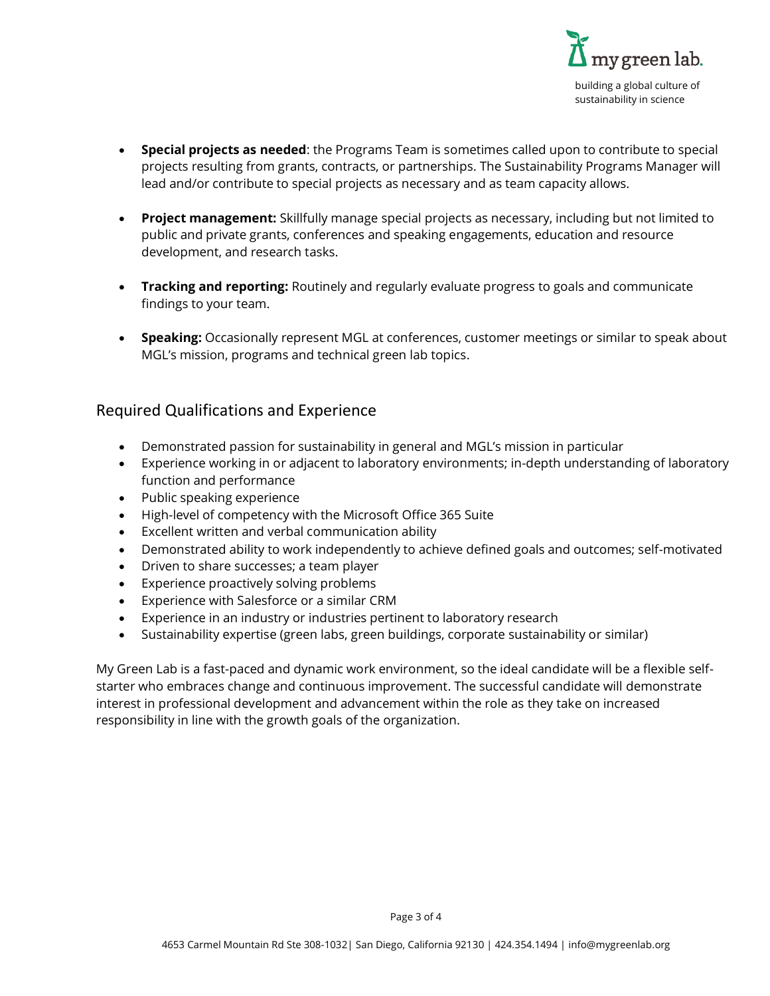

- **Special projects as needed**: the Programs Team is sometimes called upon to contribute to special projects resulting from grants, contracts, or partnerships. The Sustainability Programs Manager will lead and/or contribute to special projects as necessary and as team capacity allows.
- **Project management:** Skillfully manage special projects as necessary, including but not limited to public and private grants, conferences and speaking engagements, education and resource development, and research tasks.
- **Tracking and reporting:** Routinely and regularly evaluate progress to goals and communicate findings to your team.
- **Speaking:** Occasionally represent MGL at conferences, customer meetings or similar to speak about MGL's mission, programs and technical green lab topics.

### Required Qualifications and Experience

- Demonstrated passion for sustainability in general and MGL's mission in particular
- Experience working in or adjacent to laboratory environments; in-depth understanding of laboratory function and performance
- Public speaking experience
- High-level of competency with the Microsoft Office 365 Suite
- Excellent written and verbal communication ability
- Demonstrated ability to work independently to achieve defined goals and outcomes; self-motivated
- Driven to share successes; a team player
- Experience proactively solving problems
- Experience with Salesforce or a similar CRM
- Experience in an industry or industries pertinent to laboratory research
- Sustainability expertise (green labs, green buildings, corporate sustainability or similar)

My Green Lab is a fast-paced and dynamic work environment, so the ideal candidate will be a flexible selfstarter who embraces change and continuous improvement. The successful candidate will demonstrate interest in professional development and advancement within the role as they take on increased responsibility in line with the growth goals of the organization.